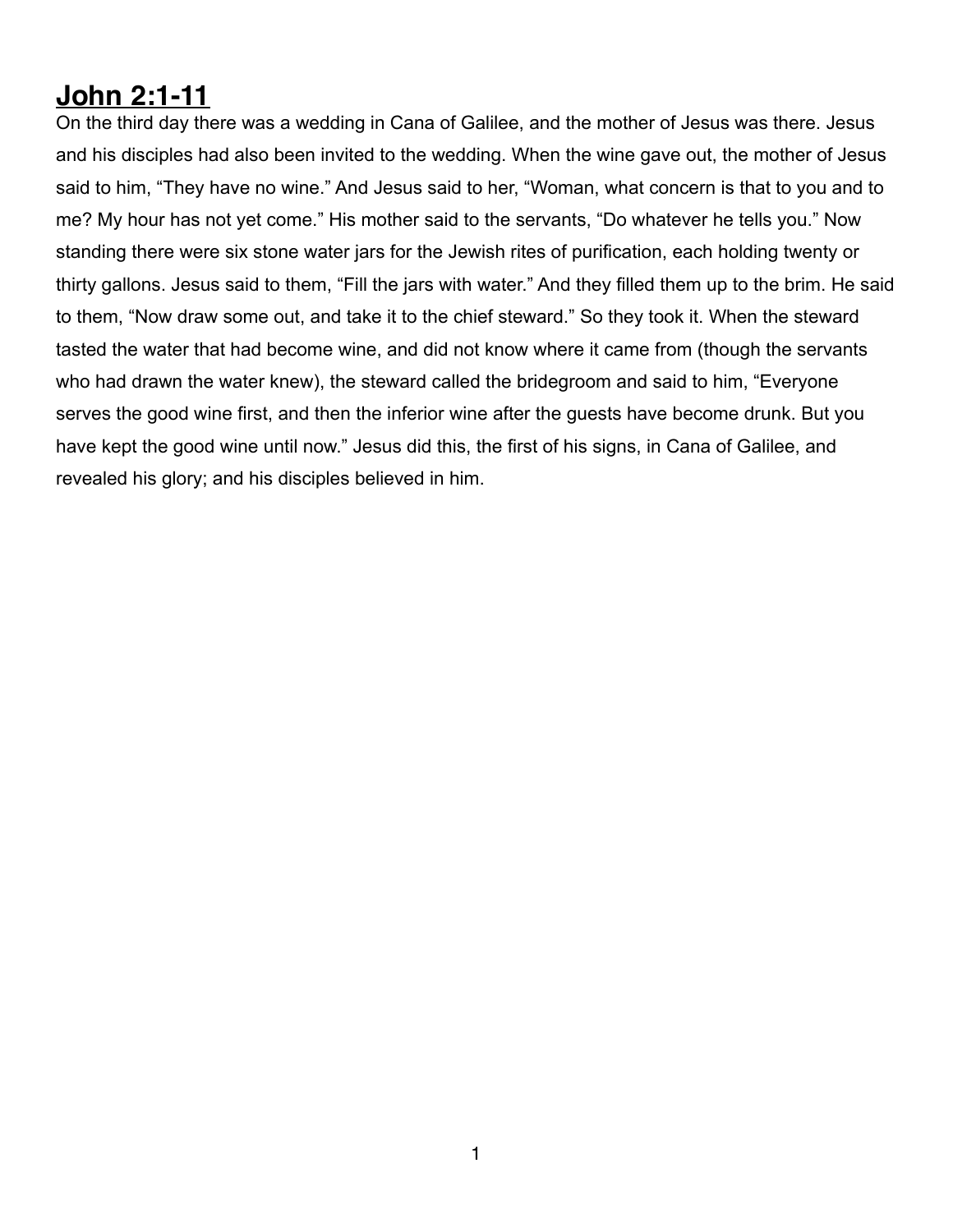## **John 2:1-11**

On the third day there was a wedding in Cana of Galilee, and the mother of Jesus was there. Jesus and his disciples had also been invited to the wedding. When the wine gave out, the mother of Jesus said to him, "They have no wine." And Jesus said to her, "Woman, what concern is that to you and to me? My hour has not yet come." His mother said to the servants, "Do whatever he tells you." Now standing there were six stone water jars for the Jewish rites of purification, each holding twenty or thirty gallons. Jesus said to them, "Fill the jars with water." And they filled them up to the brim. He said to them, "Now draw some out, and take it to the chief steward." So they took it. When the steward tasted the water that had become wine, and did not know where it came from (though the servants who had drawn the water knew), the steward called the bridegroom and said to him, "Everyone serves the good wine first, and then the inferior wine after the guests have become drunk. But you have kept the good wine until now." Jesus did this, the first of his signs, in Cana of Galilee, and revealed his glory; and his disciples believed in him.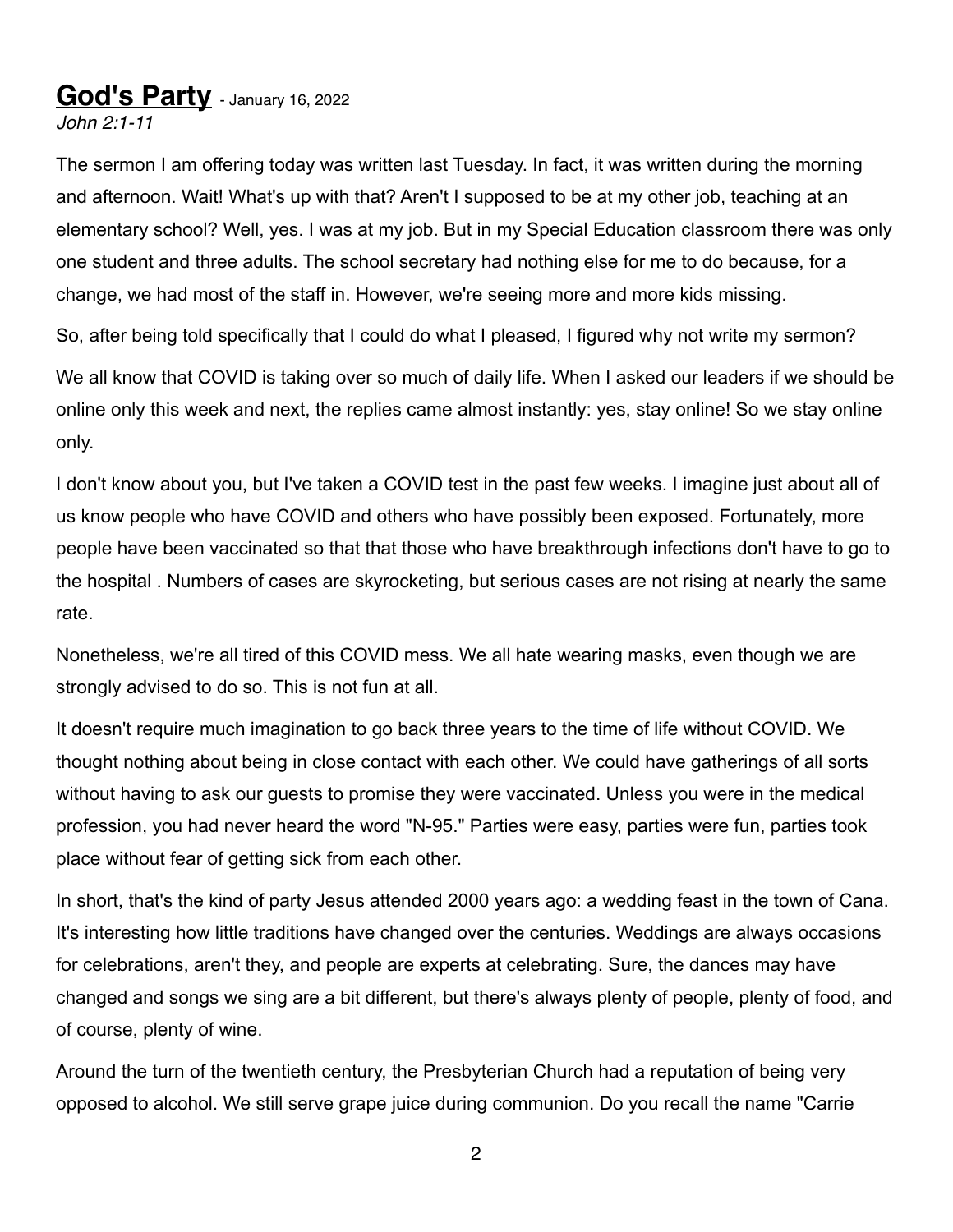## **God's Party** - January 16, 2022

*John 2:1-11*

The sermon I am offering today was written last Tuesday. In fact, it was written during the morning and afternoon. Wait! What's up with that? Aren't I supposed to be at my other job, teaching at an elementary school? Well, yes. I was at my job. But in my Special Education classroom there was only one student and three adults. The school secretary had nothing else for me to do because, for a change, we had most of the staff in. However, we're seeing more and more kids missing.

So, after being told specifically that I could do what I pleased, I figured why not write my sermon?

We all know that COVID is taking over so much of daily life. When I asked our leaders if we should be online only this week and next, the replies came almost instantly: yes, stay online! So we stay online only.

I don't know about you, but I've taken a COVID test in the past few weeks. I imagine just about all of us know people who have COVID and others who have possibly been exposed. Fortunately, more people have been vaccinated so that that those who have breakthrough infections don't have to go to the hospital . Numbers of cases are skyrocketing, but serious cases are not rising at nearly the same rate.

Nonetheless, we're all tired of this COVID mess. We all hate wearing masks, even though we are strongly advised to do so. This is not fun at all.

It doesn't require much imagination to go back three years to the time of life without COVID. We thought nothing about being in close contact with each other. We could have gatherings of all sorts without having to ask our guests to promise they were vaccinated. Unless you were in the medical profession, you had never heard the word "N-95." Parties were easy, parties were fun, parties took place without fear of getting sick from each other.

In short, that's the kind of party Jesus attended 2000 years ago: a wedding feast in the town of Cana. It's interesting how little traditions have changed over the centuries. Weddings are always occasions for celebrations, aren't they, and people are experts at celebrating. Sure, the dances may have changed and songs we sing are a bit different, but there's always plenty of people, plenty of food, and of course, plenty of wine.

Around the turn of the twentieth century, the Presbyterian Church had a reputation of being very opposed to alcohol. We still serve grape juice during communion. Do you recall the name "Carrie

2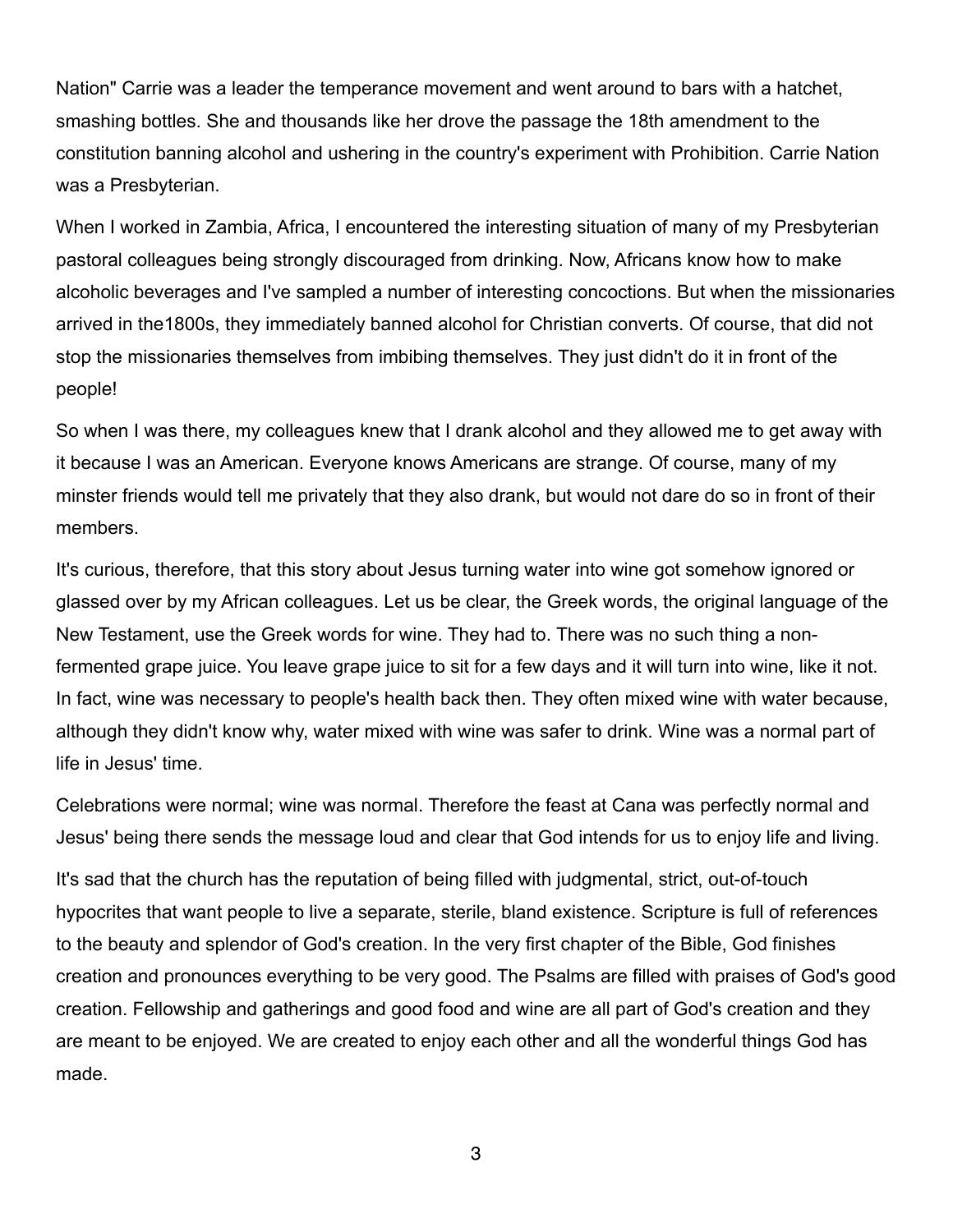Nation" Carrie was a leader the temperance movement and went around to bars with a hatchet, smashing bottles. She and thousands like her drove the passage the 18th amendment to the constitution banning alcohol and ushering in the country's experiment with Prohibition. Carrie Nation was a Presbyterian.

When I worked in Zambia, Africa, I encountered the interesting situation of many of my Presbyterian pastoral colleagues being strongly discouraged from drinking. Now, Africans know how to make alcoholic beverages and I've sampled a number of interesting concoctions. But when the missionaries arrived in the1800s, they immediately banned alcohol for Christian converts. Of course, that did not stop the missionaries themselves from imbibing themselves. They just didn't do it in front of the people!

So when I was there, my colleagues knew that I drank alcohol and they allowed me to get away with it because I was an American. Everyone knows Americans are strange. Of course, many of my minster friends would tell me privately that they also drank, but would not dare do so in front of their members.

It's curious, therefore, that this story about Jesus turning water into wine got somehow ignored or glassed over by my African colleagues. Let us be clear, the Greek words, the original language of the New Testament, use the Greek words for wine. They had to. There was no such thing a nonfermented grape juice. You leave grape juice to sit for a few days and it will turn into wine, like it not. In fact, wine was necessary to people's health back then. They often mixed wine with water because, although they didn't know why, water mixed with wine was safer to drink. Wine was a normal part of life in Jesus' time.

Celebrations were normal; wine was normal. Therefore the feast at Cana was perfectly normal and Jesus' being there sends the message loud and clear that God intends for us to enjoy life and living.

It's sad that the church has the reputation of being filled with judgmental, strict, out-of-touch hypocrites that want people to live a separate, sterile, bland existence. Scripture is full of references to the beauty and splendor of God's creation. In the very first chapter of the Bible, God finishes creation and pronounces everything to be very good. The Psalms are filled with praises of God's good creation. Fellowship and gatherings and good food and wine are all part of God's creation and they are meant to be enjoyed. We are created to enjoy each other and all the wonderful things God has made.

3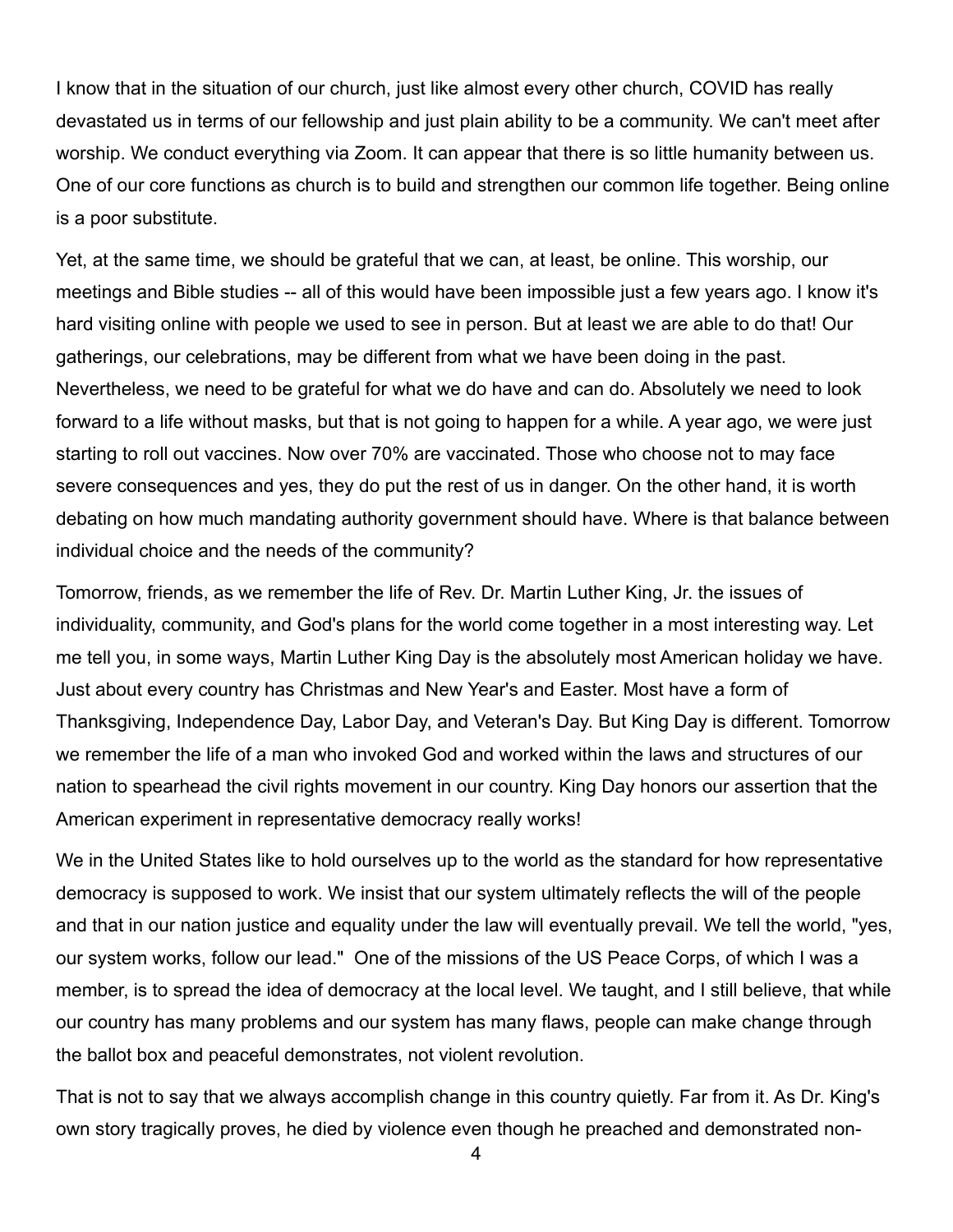I know that in the situation of our church, just like almost every other church, COVID has really devastated us in terms of our fellowship and just plain ability to be a community. We can't meet after worship. We conduct everything via Zoom. It can appear that there is so little humanity between us. One of our core functions as church is to build and strengthen our common life together. Being online is a poor substitute.

Yet, at the same time, we should be grateful that we can, at least, be online. This worship, our meetings and Bible studies -- all of this would have been impossible just a few years ago. I know it's hard visiting online with people we used to see in person. But at least we are able to do that! Our gatherings, our celebrations, may be different from what we have been doing in the past. Nevertheless, we need to be grateful for what we do have and can do. Absolutely we need to look forward to a life without masks, but that is not going to happen for a while. A year ago, we were just starting to roll out vaccines. Now over 70% are vaccinated. Those who choose not to may face severe consequences and yes, they do put the rest of us in danger. On the other hand, it is worth debating on how much mandating authority government should have. Where is that balance between individual choice and the needs of the community?

Tomorrow, friends, as we remember the life of Rev. Dr. Martin Luther King, Jr. the issues of individuality, community, and God's plans for the world come together in a most interesting way. Let me tell you, in some ways, Martin Luther King Day is the absolutely most American holiday we have. Just about every country has Christmas and New Year's and Easter. Most have a form of Thanksgiving, Independence Day, Labor Day, and Veteran's Day. But King Day is different. Tomorrow we remember the life of a man who invoked God and worked within the laws and structures of our nation to spearhead the civil rights movement in our country. King Day honors our assertion that the American experiment in representative democracy really works!

We in the United States like to hold ourselves up to the world as the standard for how representative democracy is supposed to work. We insist that our system ultimately reflects the will of the people and that in our nation justice and equality under the law will eventually prevail. We tell the world, "yes, our system works, follow our lead." One of the missions of the US Peace Corps, of which I was a member, is to spread the idea of democracy at the local level. We taught, and I still believe, that while our country has many problems and our system has many flaws, people can make change through the ballot box and peaceful demonstrates, not violent revolution.

That is not to say that we always accomplish change in this country quietly. Far from it. As Dr. King's own story tragically proves, he died by violence even though he preached and demonstrated non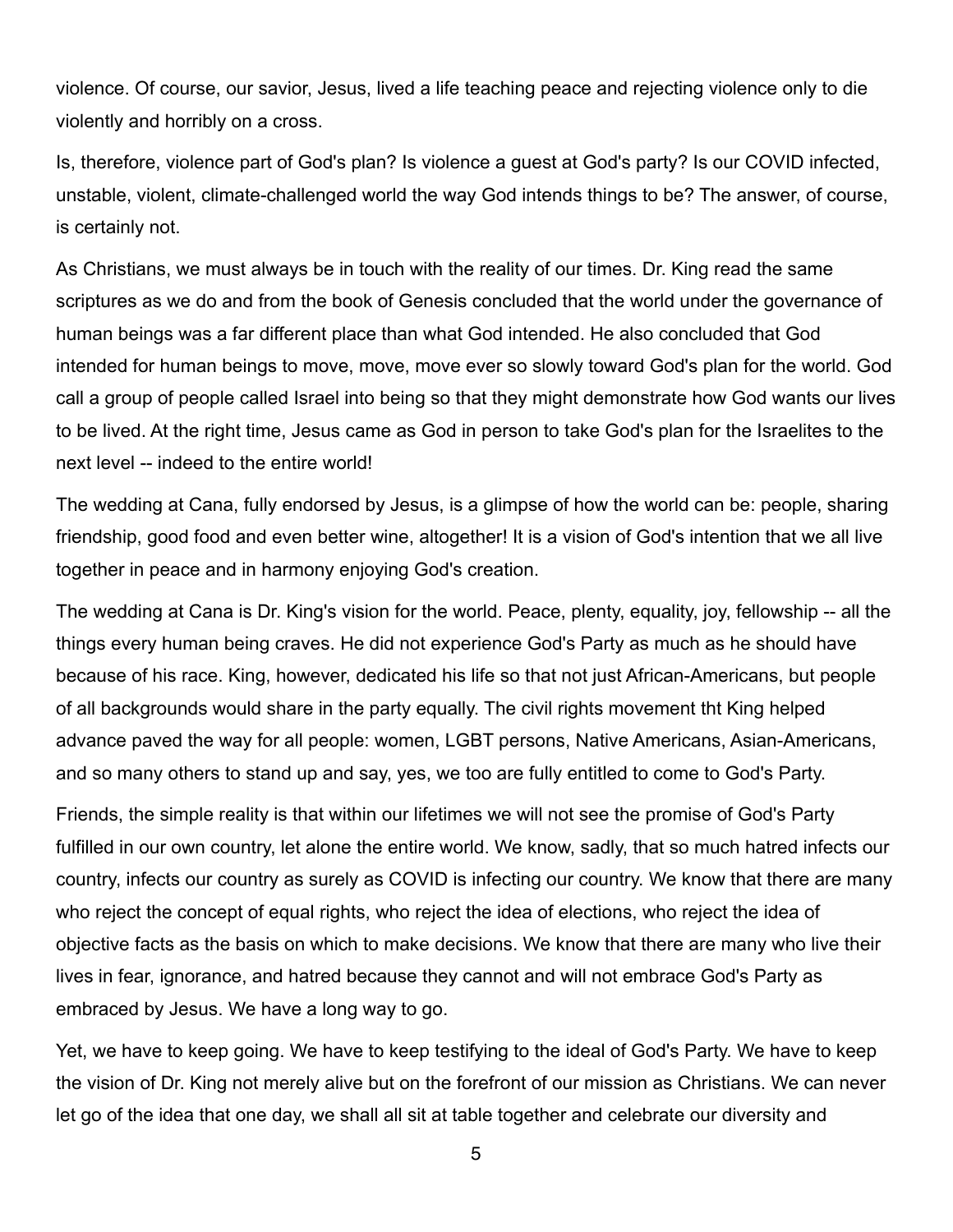violence. Of course, our savior, Jesus, lived a life teaching peace and rejecting violence only to die violently and horribly on a cross.

Is, therefore, violence part of God's plan? Is violence a guest at God's party? Is our COVID infected, unstable, violent, climate-challenged world the way God intends things to be? The answer, of course, is certainly not.

As Christians, we must always be in touch with the reality of our times. Dr. King read the same scriptures as we do and from the book of Genesis concluded that the world under the governance of human beings was a far different place than what God intended. He also concluded that God intended for human beings to move, move, move ever so slowly toward God's plan for the world. God call a group of people called Israel into being so that they might demonstrate how God wants our lives to be lived. At the right time, Jesus came as God in person to take God's plan for the Israelites to the next level -- indeed to the entire world!

The wedding at Cana, fully endorsed by Jesus, is a glimpse of how the world can be: people, sharing friendship, good food and even better wine, altogether! It is a vision of God's intention that we all live together in peace and in harmony enjoying God's creation.

The wedding at Cana is Dr. King's vision for the world. Peace, plenty, equality, joy, fellowship -- all the things every human being craves. He did not experience God's Party as much as he should have because of his race. King, however, dedicated his life so that not just African-Americans, but people of all backgrounds would share in the party equally. The civil rights movement tht King helped advance paved the way for all people: women, LGBT persons, Native Americans, Asian-Americans, and so many others to stand up and say, yes, we too are fully entitled to come to God's Party.

Friends, the simple reality is that within our lifetimes we will not see the promise of God's Party fulfilled in our own country, let alone the entire world. We know, sadly, that so much hatred infects our country, infects our country as surely as COVID is infecting our country. We know that there are many who reject the concept of equal rights, who reject the idea of elections, who reject the idea of objective facts as the basis on which to make decisions. We know that there are many who live their lives in fear, ignorance, and hatred because they cannot and will not embrace God's Party as embraced by Jesus. We have a long way to go.

Yet, we have to keep going. We have to keep testifying to the ideal of God's Party. We have to keep the vision of Dr. King not merely alive but on the forefront of our mission as Christians. We can never let go of the idea that one day, we shall all sit at table together and celebrate our diversity and

5